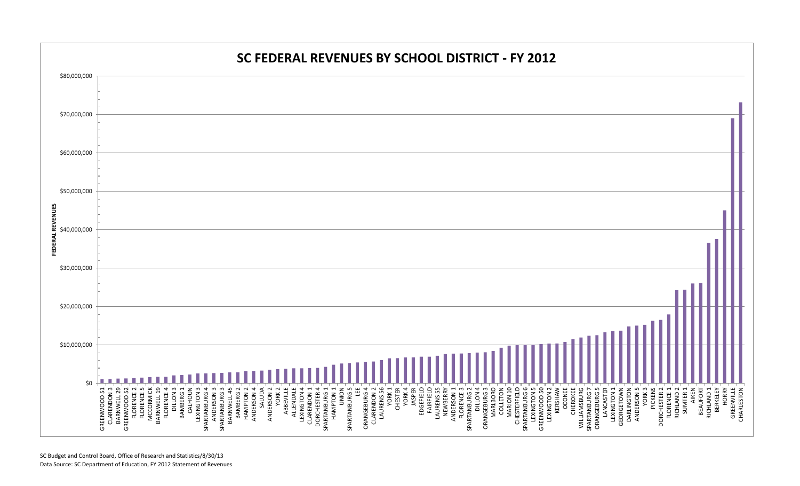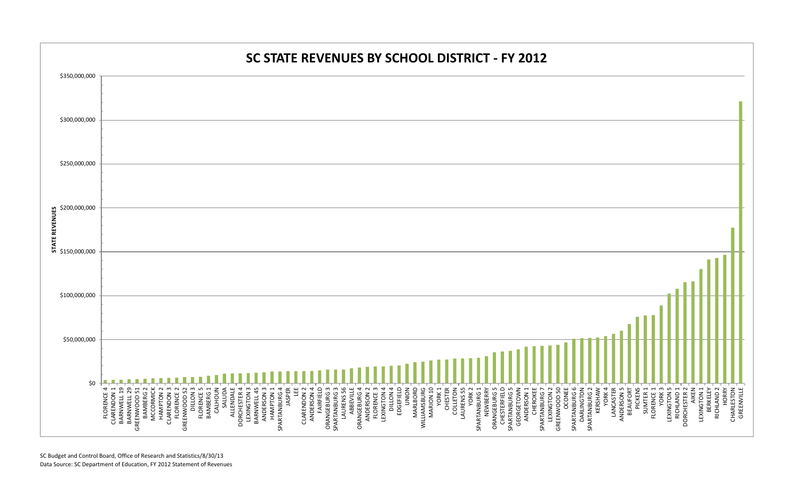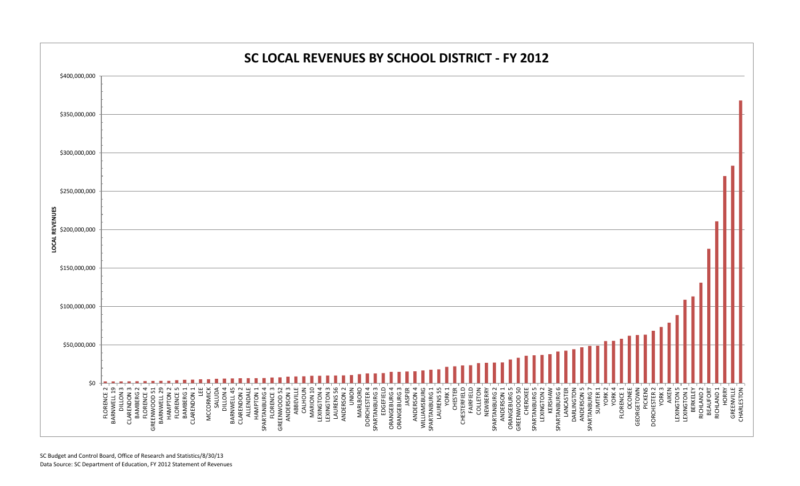